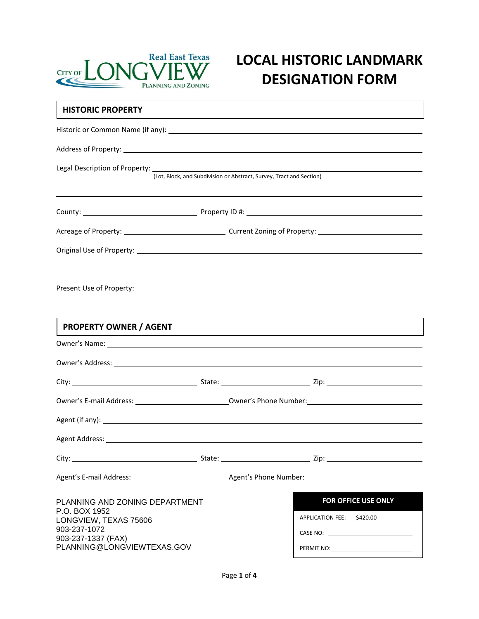

# **LOCAL HISTORIC LANDMARK DESIGNATION FORM**

| <b>HISTORIC PROPERTY</b>                                                                                                                     |  |                                                                                                                                                                                                                                |  |  |  |
|----------------------------------------------------------------------------------------------------------------------------------------------|--|--------------------------------------------------------------------------------------------------------------------------------------------------------------------------------------------------------------------------------|--|--|--|
|                                                                                                                                              |  |                                                                                                                                                                                                                                |  |  |  |
|                                                                                                                                              |  |                                                                                                                                                                                                                                |  |  |  |
|                                                                                                                                              |  | Legal Description of Property: Legal Description of Property:<br>(Lot, Block, and Subdivision or Abstract, Survey, Tract and Section)                                                                                          |  |  |  |
|                                                                                                                                              |  |                                                                                                                                                                                                                                |  |  |  |
|                                                                                                                                              |  |                                                                                                                                                                                                                                |  |  |  |
|                                                                                                                                              |  |                                                                                                                                                                                                                                |  |  |  |
|                                                                                                                                              |  |                                                                                                                                                                                                                                |  |  |  |
| <b>PROPERTY OWNER / AGENT</b>                                                                                                                |  | ,我们也不会有什么?""我们的人,我们也不会有什么?""我们的人,我们也不会有什么?""我们的人,我们也不会有什么?""我们的人,我们也不会有什么?""我们的人<br>,我们也不会有什么。""我们的人,我们也不会有什么?""我们的人,我们也不会有什么?""我们的人,我们也不会有什么?""我们的人,我们也不会有什么?""我们的人                                                           |  |  |  |
|                                                                                                                                              |  | Owner's Name: 1988 Contract Contract Contract Contract Contract Contract Contract Contract Contract Contract Contract Contract Contract Contract Contract Contract Contract Contract Contract Contract Contract Contract Contr |  |  |  |
|                                                                                                                                              |  |                                                                                                                                                                                                                                |  |  |  |
|                                                                                                                                              |  |                                                                                                                                                                                                                                |  |  |  |
|                                                                                                                                              |  |                                                                                                                                                                                                                                |  |  |  |
|                                                                                                                                              |  |                                                                                                                                                                                                                                |  |  |  |
|                                                                                                                                              |  |                                                                                                                                                                                                                                |  |  |  |
|                                                                                                                                              |  |                                                                                                                                                                                                                                |  |  |  |
|                                                                                                                                              |  |                                                                                                                                                                                                                                |  |  |  |
| PLANNING AND ZONING DEPARTMENT<br>P.O. BOX 1952<br>LONGVIEW, TEXAS 75606<br>903-237-1072<br>903-237-1337 (FAX)<br>PLANNING@LONGVIEWTEXAS.GOV |  | FOR OFFICE USE ONLY<br>APPLICATION FEE: \$420.00                                                                                                                                                                               |  |  |  |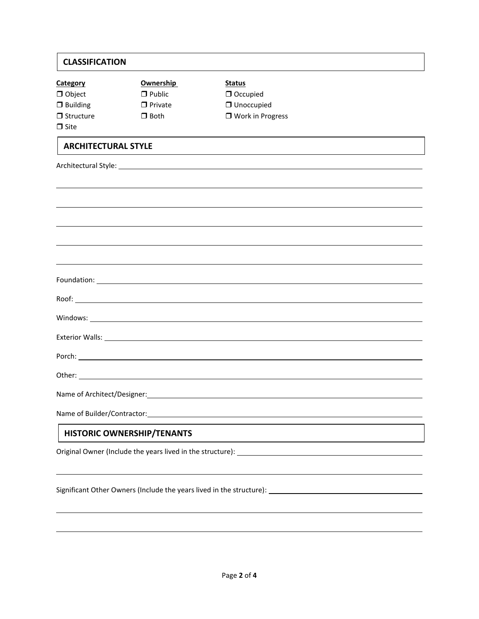| <b>CLASSIFICATION</b>             |                  |                                                                                                                |  |  |  |
|-----------------------------------|------------------|----------------------------------------------------------------------------------------------------------------|--|--|--|
| <b>Category</b>                   | <b>Ownership</b> | <b>Status</b>                                                                                                  |  |  |  |
| $\Box$ Object                     | $\Box$ Public    | O Occupied                                                                                                     |  |  |  |
| $\Box$ Building                   | $\Box$ Private   | <b>Unoccupied</b>                                                                                              |  |  |  |
| $\Box$ Structure                  | $\Box$ Both      | □ Work in Progress                                                                                             |  |  |  |
| $\Box$ Site                       |                  |                                                                                                                |  |  |  |
| <b>ARCHITECTURAL STYLE</b>        |                  |                                                                                                                |  |  |  |
|                                   |                  |                                                                                                                |  |  |  |
|                                   |                  |                                                                                                                |  |  |  |
|                                   |                  |                                                                                                                |  |  |  |
|                                   |                  |                                                                                                                |  |  |  |
|                                   |                  |                                                                                                                |  |  |  |
|                                   |                  |                                                                                                                |  |  |  |
|                                   |                  |                                                                                                                |  |  |  |
|                                   |                  |                                                                                                                |  |  |  |
|                                   |                  |                                                                                                                |  |  |  |
|                                   |                  |                                                                                                                |  |  |  |
|                                   |                  |                                                                                                                |  |  |  |
|                                   |                  |                                                                                                                |  |  |  |
| Name of Architect/Designer:       |                  |                                                                                                                |  |  |  |
|                                   |                  |                                                                                                                |  |  |  |
| <b>HISTORIC OWNERSHIP/TENANTS</b> |                  |                                                                                                                |  |  |  |
|                                   |                  |                                                                                                                |  |  |  |
|                                   |                  |                                                                                                                |  |  |  |
|                                   |                  | Significant Other Owners (Include the years lived in the structure): [16] [2012] [2012] [2012] [2012] [2012] [ |  |  |  |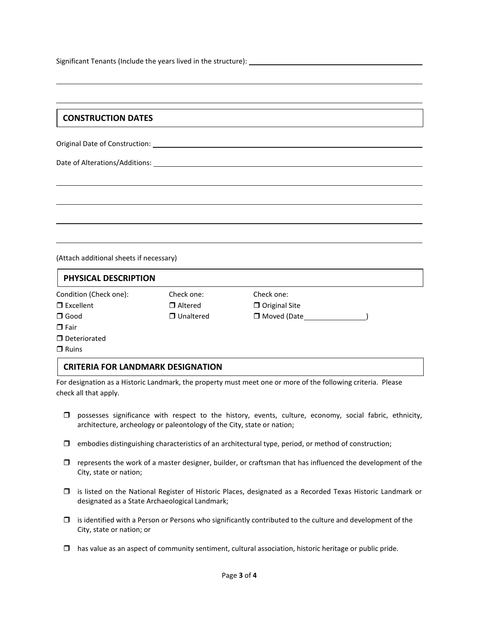Significant Tenants (Include the years lived in the structure):

## **CONSTRUCTION DATES**

Original Date of Construction:

Date of Alterations/Additions:

(Attach additional sheets if necessary)

| PHYSICAL DESCRIPTION   |                  |                      |  |  |  |
|------------------------|------------------|----------------------|--|--|--|
| Condition (Check one): | Check one:       | Check one:           |  |  |  |
| $\Box$ Excellent       | $\Box$ Altered   | $\Box$ Original Site |  |  |  |
| $\Box$ Good            | $\Box$ Unaltered | □ Moved (Date        |  |  |  |
| $\Box$ Fair            |                  |                      |  |  |  |
| D Deteriorated         |                  |                      |  |  |  |
| $\Box$ Ruins           |                  |                      |  |  |  |

#### **CRITERIA FOR LANDMARK DESIGNATION**

For designation as a Historic Landmark, the property must meet one or more of the following criteria. Please check all that apply.

- $\Box$  possesses significance with respect to the history, events, culture, economy, social fabric, ethnicity, architecture, archeology or paleontology of the City, state or nation;
- $\Box$  embodies distinguishing characteristics of an architectural type, period, or method of construction;
- $\Box$  represents the work of a master designer, builder, or craftsman that has influenced the development of the City, state or nation;
- $\Box$  is listed on the National Register of Historic Places, designated as a Recorded Texas Historic Landmark or designated as a State Archaeological Landmark;
- $\Box$  is identified with a Person or Persons who significantly contributed to the culture and development of the City, state or nation; or
- $\Box$  has value as an aspect of community sentiment, cultural association, historic heritage or public pride.